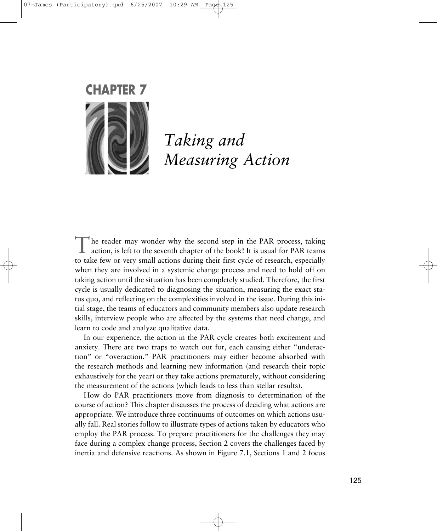

The reader may wonder why the second step in the PAR process, taking<br>action, is left to the seventh chapter of the book! It is usual for PAR teams to take few or very small actions during their first cycle of research, especially when they are involved in a systemic change process and need to hold off on taking action until the situation has been completely studied. Therefore, the first cycle is usually dedicated to diagnosing the situation, measuring the exact status quo, and reflecting on the complexities involved in the issue. During this initial stage, the teams of educators and community members also update research skills, interview people who are affected by the systems that need change, and learn to code and analyze qualitative data.

In our experience, the action in the PAR cycle creates both excitement and anxiety. There are two traps to watch out for, each causing either "underaction" or "overaction." PAR practitioners may either become absorbed with the research methods and learning new information (and research their topic exhaustively for the year) or they take actions prematurely, without considering the measurement of the actions (which leads to less than stellar results).

How do PAR practitioners move from diagnosis to determination of the course of action? This chapter discusses the process of deciding what actions are appropriate. We introduce three continuums of outcomes on which actions usually fall. Real stories follow to illustrate types of actions taken by educators who employ the PAR process. To prepare practitioners for the challenges they may face during a complex change process, Section 2 covers the challenges faced by inertia and defensive reactions. As shown in Figure 7.1, Sections 1 and 2 focus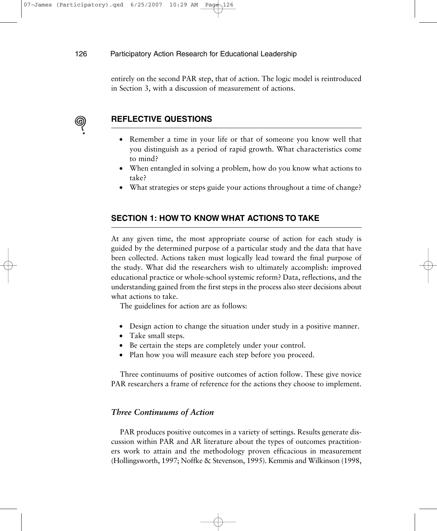entirely on the second PAR step, that of action. The logic model is reintroduced in Section 3, with a discussion of measurement of actions.



# **REFLECTIVE QUESTIONS**

- Remember a time in your life or that of someone you know well that you distinguish as a period of rapid growth. What characteristics come to mind?
- When entangled in solving a problem, how do you know what actions to take?
- What strategies or steps guide your actions throughout a time of change?

# **SECTION 1: HOW TO KNOW WHAT ACTIONS TO TAKE**

At any given time, the most appropriate course of action for each study is guided by the determined purpose of a particular study and the data that have been collected. Actions taken must logically lead toward the final purpose of the study. What did the researchers wish to ultimately accomplish: improved educational practice or whole-school systemic reform? Data, reflections, and the understanding gained from the first steps in the process also steer decisions about what actions to take.

The guidelines for action are as follows:

- Design action to change the situation under study in a positive manner.
- Take small steps.
- Be certain the steps are completely under your control.
- Plan how you will measure each step before you proceed.

Three continuums of positive outcomes of action follow. These give novice PAR researchers a frame of reference for the actions they choose to implement.

# *Three Continuums of Action*

PAR produces positive outcomes in a variety of settings. Results generate discussion within PAR and AR literature about the types of outcomes practitioners work to attain and the methodology proven efficacious in measurement (Hollingsworth, 1997; Noffke & Stevenson, 1995). Kemmis and Wilkinson (1998,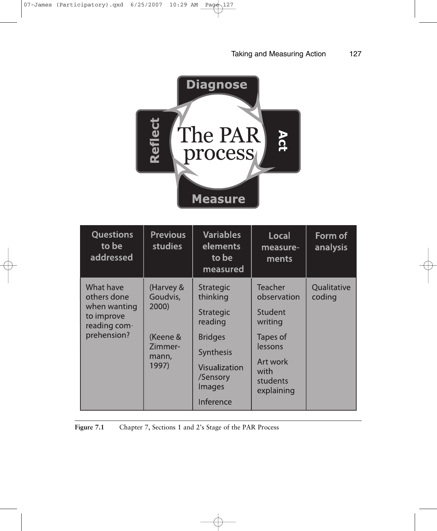

| <b>Questions</b><br>to be<br>addressed                                                | <b>Previous</b><br>studies                                              | <b>Variables</b><br>elements<br>to be<br>measured                                                                                       | Local<br>measure-<br>ments                                                                                               | Form of<br>analysis   |
|---------------------------------------------------------------------------------------|-------------------------------------------------------------------------|-----------------------------------------------------------------------------------------------------------------------------------------|--------------------------------------------------------------------------------------------------------------------------|-----------------------|
| What have<br>others done<br>when wanting<br>to improve<br>reading com-<br>prehension? | (Harvey &<br>Goudvis,<br>2000)<br>(Keene &<br>Zimmer-<br>mann,<br>1997) | <b>Strategic</b><br>thinking<br>Strategic<br>reading<br><b>Bridges</b><br>Synthesis<br>Visualization<br>/Sensory<br>Images<br>Inference | <b>Teacher</b><br>observation<br>Student<br>writing<br>Tapes of<br>lessons<br>Art work<br>with<br>students<br>explaining | Qualitative<br>coding |

Figure 7.1 Chapter 7, Sections 1 and 2's Stage of the PAR Process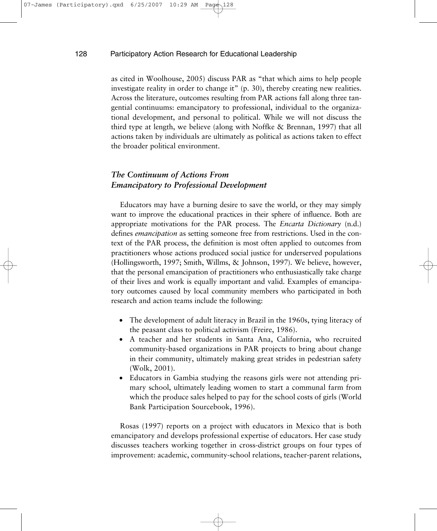as cited in Woolhouse, 2005) discuss PAR as "that which aims to help people investigate reality in order to change it" (p. 30), thereby creating new realities. Across the literature, outcomes resulting from PAR actions fall along three tangential continuums: emancipatory to professional, individual to the organizational development, and personal to political. While we will not discuss the third type at length, we believe (along with Noffke & Brennan, 1997) that all actions taken by individuals are ultimately as political as actions taken to effect the broader political environment.

# *The Continuum of Actions From Emancipatory to Professional Development*

Educators may have a burning desire to save the world, or they may simply want to improve the educational practices in their sphere of influence. Both are appropriate motivations for the PAR process. The *Encarta Dictionary* (n.d.) defines *emancipation* as setting someone free from restrictions. Used in the context of the PAR process, the definition is most often applied to outcomes from practitioners whose actions produced social justice for underserved populations (Hollingsworth, 1997; Smith, Willms, & Johnson, 1997). We believe, however, that the personal emancipation of practitioners who enthusiastically take charge of their lives and work is equally important and valid. Examples of emancipatory outcomes caused by local community members who participated in both research and action teams include the following:

- The development of adult literacy in Brazil in the 1960s, tying literacy of the peasant class to political activism (Freire, 1986).
- A teacher and her students in Santa Ana, California, who recruited community-based organizations in PAR projects to bring about change in their community, ultimately making great strides in pedestrian safety (Wolk, 2001).
- Educators in Gambia studying the reasons girls were not attending primary school, ultimately leading women to start a communal farm from which the produce sales helped to pay for the school costs of girls (World Bank Participation Sourcebook, 1996).

Rosas (1997) reports on a project with educators in Mexico that is both emancipatory and develops professional expertise of educators. Her case study discusses teachers working together in cross-district groups on four types of improvement: academic, community-school relations, teacher-parent relations,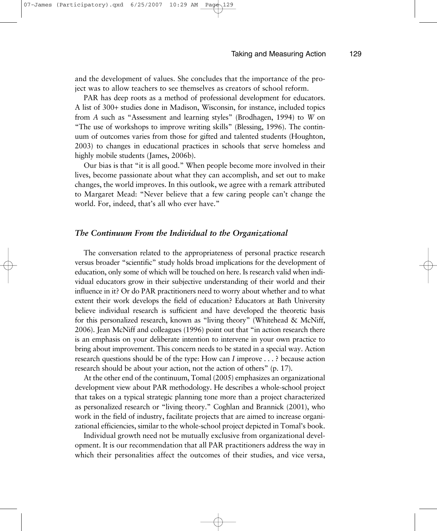and the development of values. She concludes that the importance of the project was to allow teachers to see themselves as creators of school reform.

PAR has deep roots as a method of professional development for educators. A list of 300+ studies done in Madison, Wisconsin, for instance, included topics from *A* such as "Assessment and learning styles" (Brodhagen, 1994) to *W* on "The use of workshops to improve writing skills" (Blessing, 1996). The continuum of outcomes varies from those for gifted and talented students (Houghton, 2003) to changes in educational practices in schools that serve homeless and highly mobile students (James, 2006b).

Our bias is that "it is all good." When people become more involved in their lives, become passionate about what they can accomplish, and set out to make changes, the world improves. In this outlook, we agree with a remark attributed to Margaret Mead: "Never believe that a few caring people can't change the world. For, indeed, that's all who ever have."

#### *The Continuum From the Individual to the Organizational*

The conversation related to the appropriateness of personal practice research versus broader "scientific" study holds broad implications for the development of education, only some of which will be touched on here. Is research valid when individual educators grow in their subjective understanding of their world and their influence in it? Or do PAR practitioners need to worry about whether and to what extent their work develops the field of education? Educators at Bath University believe individual research is sufficient and have developed the theoretic basis for this personalized research, known as "living theory" (Whitehead & McNiff, 2006). Jean McNiff and colleagues (1996) point out that "in action research there is an emphasis on your deliberate intention to intervene in your own practice to bring about improvement. This concern needs to be stated in a special way. Action research questions should be of the type: How can *I* improve . . . ? because action research should be about your action, not the action of others" (p. 17).

At the other end of the continuum, Tomal (2005) emphasizes an organizational development view about PAR methodology. He describes a whole-school project that takes on a typical strategic planning tone more than a project characterized as personalized research or "living theory." Coghlan and Brannick (2001), who work in the field of industry, facilitate projects that are aimed to increase organizational efficiencies, similar to the whole-school project depicted in Tomal's book.

Individual growth need not be mutually exclusive from organizational development. It is our recommendation that all PAR practitioners address the way in which their personalities affect the outcomes of their studies, and vice versa,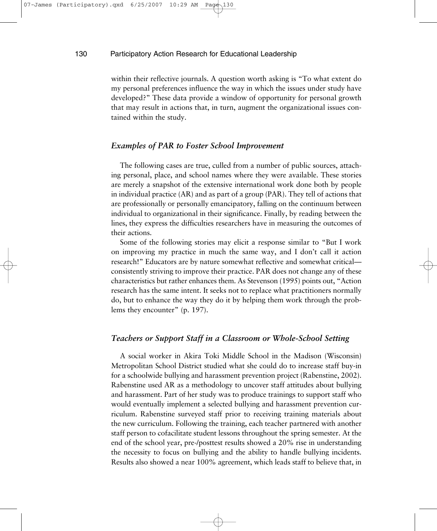within their reflective journals. A question worth asking is "To what extent do my personal preferences influence the way in which the issues under study have developed?" These data provide a window of opportunity for personal growth that may result in actions that, in turn, augment the organizational issues contained within the study.

#### *Examples of PAR to Foster School Improvement*

The following cases are true, culled from a number of public sources, attaching personal, place, and school names where they were available. These stories are merely a snapshot of the extensive international work done both by people in individual practice (AR) and as part of a group (PAR). They tell of actions that are professionally or personally emancipatory, falling on the continuum between individual to organizational in their significance. Finally, by reading between the lines, they express the difficulties researchers have in measuring the outcomes of their actions.

Some of the following stories may elicit a response similar to "But I work on improving my practice in much the same way, and I don't call it action research!" Educators are by nature somewhat reflective and somewhat critical consistently striving to improve their practice. PAR does not change any of these characteristics but rather enhances them. As Stevenson (1995) points out, "Action research has the same intent. It seeks not to replace what practitioners normally do, but to enhance the way they do it by helping them work through the problems they encounter" (p. 197).

# *Teachers or Support Staff in a Classroom or Whole-School Setting*

A social worker in Akira Toki Middle School in the Madison (Wisconsin) Metropolitan School District studied what she could do to increase staff buy-in for a schoolwide bullying and harassment prevention project (Rabenstine, 2002). Rabenstine used AR as a methodology to uncover staff attitudes about bullying and harassment. Part of her study was to produce trainings to support staff who would eventually implement a selected bullying and harassment prevention curriculum. Rabenstine surveyed staff prior to receiving training materials about the new curriculum. Following the training, each teacher partnered with another staff person to cofacilitate student lessons throughout the spring semester. At the end of the school year, pre-/posttest results showed a 20% rise in understanding the necessity to focus on bullying and the ability to handle bullying incidents. Results also showed a near 100% agreement, which leads staff to believe that, in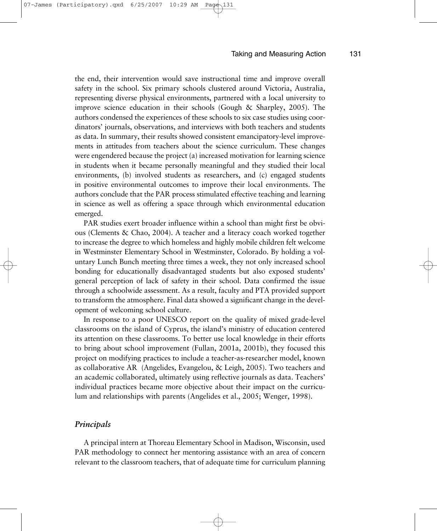the end, their intervention would save instructional time and improve overall safety in the school. Six primary schools clustered around Victoria, Australia, representing diverse physical environments, partnered with a local university to improve science education in their schools (Gough & Sharpley, 2005). The authors condensed the experiences of these schools to six case studies using coordinators' journals, observations, and interviews with both teachers and students as data. In summary, their results showed consistent emancipatory-level improvements in attitudes from teachers about the science curriculum. These changes were engendered because the project (a) increased motivation for learning science in students when it became personally meaningful and they studied their local environments, (b) involved students as researchers, and (c) engaged students in positive environmental outcomes to improve their local environments. The authors conclude that the PAR process stimulated effective teaching and learning in science as well as offering a space through which environmental education emerged.

PAR studies exert broader influence within a school than might first be obvious (Clements & Chao, 2004). A teacher and a literacy coach worked together to increase the degree to which homeless and highly mobile children felt welcome in Westminster Elementary School in Westminster, Colorado. By holding a voluntary Lunch Bunch meeting three times a week, they not only increased school bonding for educationally disadvantaged students but also exposed students' general perception of lack of safety in their school. Data confirmed the issue through a schoolwide assessment. As a result, faculty and PTA provided support to transform the atmosphere. Final data showed a significant change in the development of welcoming school culture.

In response to a poor UNESCO report on the quality of mixed grade-level classrooms on the island of Cyprus, the island's ministry of education centered its attention on these classrooms. To better use local knowledge in their efforts to bring about school improvement (Fullan, 2001a, 2001b), they focused this project on modifying practices to include a teacher-as-researcher model, known as collaborative AR (Angelides, Evangelou, & Leigh, 2005). Two teachers and an academic collaborated, ultimately using reflective journals as data. Teachers' individual practices became more objective about their impact on the curriculum and relationships with parents (Angelides et al., 2005; Wenger, 1998).

#### *Principals*

A principal intern at Thoreau Elementary School in Madison, Wisconsin, used PAR methodology to connect her mentoring assistance with an area of concern relevant to the classroom teachers, that of adequate time for curriculum planning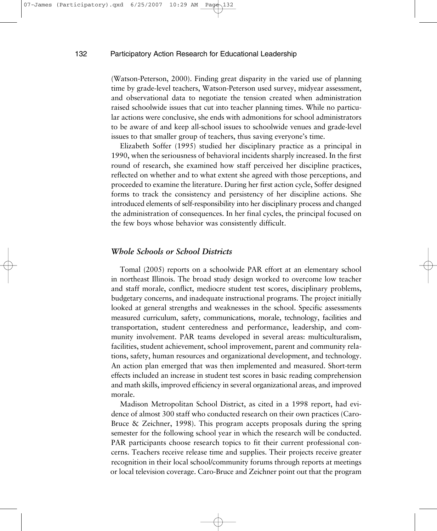(Watson-Peterson, 2000). Finding great disparity in the varied use of planning time by grade-level teachers, Watson-Peterson used survey, midyear assessment, and observational data to negotiate the tension created when administration raised schoolwide issues that cut into teacher planning times. While no particular actions were conclusive, she ends with admonitions for school administrators to be aware of and keep all-school issues to schoolwide venues and grade-level issues to that smaller group of teachers, thus saving everyone's time.

Elizabeth Soffer (1995) studied her disciplinary practice as a principal in 1990, when the seriousness of behavioral incidents sharply increased. In the first round of research, she examined how staff perceived her discipline practices, reflected on whether and to what extent she agreed with those perceptions, and proceeded to examine the literature. During her first action cycle, Soffer designed forms to track the consistency and persistency of her discipline actions. She introduced elements of self-responsibility into her disciplinary process and changed the administration of consequences. In her final cycles, the principal focused on the few boys whose behavior was consistently difficult.

#### *Whole Schools or School Districts*

Tomal (2005) reports on a schoolwide PAR effort at an elementary school in northeast Illinois. The broad study design worked to overcome low teacher and staff morale, conflict, mediocre student test scores, disciplinary problems, budgetary concerns, and inadequate instructional programs. The project initially looked at general strengths and weaknesses in the school. Specific assessments measured curriculum, safety, communications, morale, technology, facilities and transportation, student centeredness and performance, leadership, and community involvement. PAR teams developed in several areas: multiculturalism, facilities, student achievement, school improvement, parent and community relations, safety, human resources and organizational development, and technology. An action plan emerged that was then implemented and measured. Short-term effects included an increase in student test scores in basic reading comprehension and math skills, improved efficiency in several organizational areas, and improved morale.

Madison Metropolitan School District, as cited in a 1998 report, had evidence of almost 300 staff who conducted research on their own practices (Caro-Bruce & Zeichner, 1998). This program accepts proposals during the spring semester for the following school year in which the research will be conducted. PAR participants choose research topics to fit their current professional concerns. Teachers receive release time and supplies. Their projects receive greater recognition in their local school/community forums through reports at meetings or local television coverage. Caro-Bruce and Zeichner point out that the program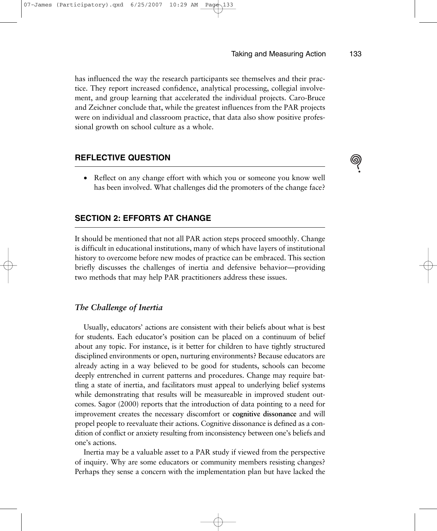has influenced the way the research participants see themselves and their practice. They report increased confidence, analytical processing, collegial involvement, and group learning that accelerated the individual projects. Caro-Bruce and Zeichner conclude that, while the greatest influences from the PAR projects were on individual and classroom practice, that data also show positive professional growth on school culture as a whole.

# **REFLECTIVE QUESTION**

• Reflect on any change effort with which you or someone you know well has been involved. What challenges did the promoters of the change face?

# **SECTION 2: EFFORTS AT CHANGE**

It should be mentioned that not all PAR action steps proceed smoothly. Change is difficult in educational institutions, many of which have layers of institutional history to overcome before new modes of practice can be embraced. This section briefly discusses the challenges of inertia and defensive behavior—providing two methods that may help PAR practitioners address these issues.

# *The Challenge of Inertia*

Usually, educators' actions are consistent with their beliefs about what is best for students. Each educator's position can be placed on a continuum of belief about any topic. For instance, is it better for children to have tightly structured disciplined environments or open, nurturing environments? Because educators are already acting in a way believed to be good for students, schools can become deeply entrenched in current patterns and procedures. Change may require battling a state of inertia, and facilitators must appeal to underlying belief systems while demonstrating that results will be measureable in improved student outcomes. Sagor (2000) reports that the introduction of data pointing to a need for improvement creates the necessary discomfort or **cognitive dissonance** and will propel people to reevaluate their actions. Cognitive dissonance is defined as a condition of conflict or anxiety resulting from inconsistency between one's beliefs and one's actions.

Inertia may be a valuable asset to a PAR study if viewed from the perspective of inquiry. Why are some educators or community members resisting changes? Perhaps they sense a concern with the implementation plan but have lacked the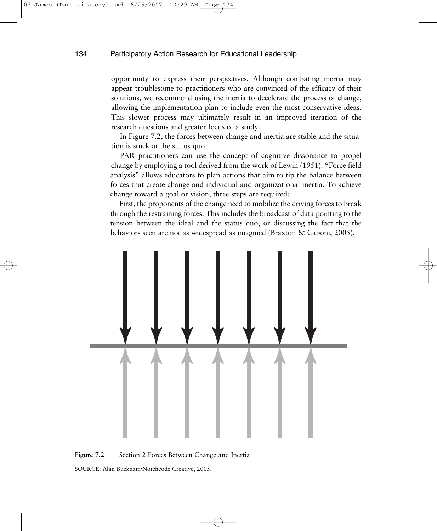opportunity to express their perspectives. Although combating inertia may appear troublesome to practitioners who are convinced of the efficacy of their solutions, we recommend using the inertia to decelerate the process of change, allowing the implementation plan to include even the most conservative ideas. This slower process may ultimately result in an improved iteration of the research questions and greater focus of a study.

In Figure 7.2, the forces between change and inertia are stable and the situation is stuck at the status quo.

PAR practitioners can use the concept of cognitive dissonance to propel change by employing a tool derived from the work of Lewin (1951). "Force field analysis" allows educators to plan actions that aim to tip the balance between forces that create change and individual and organizational inertia. To achieve change toward a goal or vision, three steps are required:

First, the proponents of the change need to mobilize the driving forces to break through the restraining forces. This includes the broadcast of data pointing to the tension between the ideal and the status quo, or discussing the fact that the behaviors seen are not as widespread as imagined (Braxton & Caboni, 2005).



Figure 7.2 Section 2 Forces Between Change and Inertia

SOURCE: Alan Bucknam/Notchcode Creative, 2005.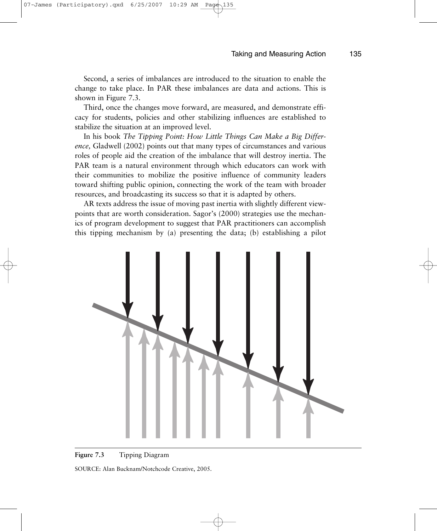Second, a series of imbalances are introduced to the situation to enable the change to take place. In PAR these imbalances are data and actions. This is shown in Figure 7.3.

Third, once the changes move forward, are measured, and demonstrate efficacy for students, policies and other stabilizing influences are established to stabilize the situation at an improved level.

In his book *The Tipping Point: How Little Things Can Make a Big Difference,* Gladwell (2002) points out that many types of circumstances and various roles of people aid the creation of the imbalance that will destroy inertia. The PAR team is a natural environment through which educators can work with their communities to mobilize the positive influence of community leaders toward shifting public opinion, connecting the work of the team with broader resources, and broadcasting its success so that it is adapted by others.

AR texts address the issue of moving past inertia with slightly different viewpoints that are worth consideration. Sagor's (2000) strategies use the mechanics of program development to suggest that PAR practitioners can accomplish this tipping mechanism by (a) presenting the data; (b) establishing a pilot



**Figure 7.3** Tipping Diagram

SOURCE: Alan Bucknam/Notchcode Creative, 2005.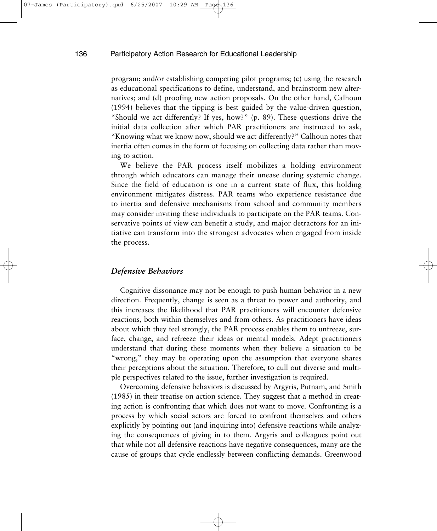program; and/or establishing competing pilot programs; (c) using the research as educational specifications to define, understand, and brainstorm new alternatives; and (d) proofing new action proposals. On the other hand, Calhoun (1994) believes that the tipping is best guided by the value-driven question, "Should we act differently? If yes, how?" (p. 89). These questions drive the initial data collection after which PAR practitioners are instructed to ask, "Knowing what we know now, should we act differently?" Calhoun notes that inertia often comes in the form of focusing on collecting data rather than moving to action.

We believe the PAR process itself mobilizes a holding environment through which educators can manage their unease during systemic change. Since the field of education is one in a current state of flux, this holding environment mitigates distress. PAR teams who experience resistance due to inertia and defensive mechanisms from school and community members may consider inviting these individuals to participate on the PAR teams. Conservative points of view can benefit a study, and major detractors for an initiative can transform into the strongest advocates when engaged from inside the process.

#### *Defensive Behaviors*

Cognitive dissonance may not be enough to push human behavior in a new direction. Frequently, change is seen as a threat to power and authority, and this increases the likelihood that PAR practitioners will encounter defensive reactions, both within themselves and from others. As practitioners have ideas about which they feel strongly, the PAR process enables them to unfreeze, surface, change, and refreeze their ideas or mental models. Adept practitioners understand that during these moments when they believe a situation to be "wrong," they may be operating upon the assumption that everyone shares their perceptions about the situation. Therefore, to cull out diverse and multiple perspectives related to the issue, further investigation is required.

Overcoming defensive behaviors is discussed by Argyris, Putnam, and Smith (1985) in their treatise on action science. They suggest that a method in creating action is confronting that which does not want to move. Confronting is a process by which social actors are forced to confront themselves and others explicitly by pointing out (and inquiring into) defensive reactions while analyzing the consequences of giving in to them. Argyris and colleagues point out that while not all defensive reactions have negative consequences, many are the cause of groups that cycle endlessly between conflicting demands. Greenwood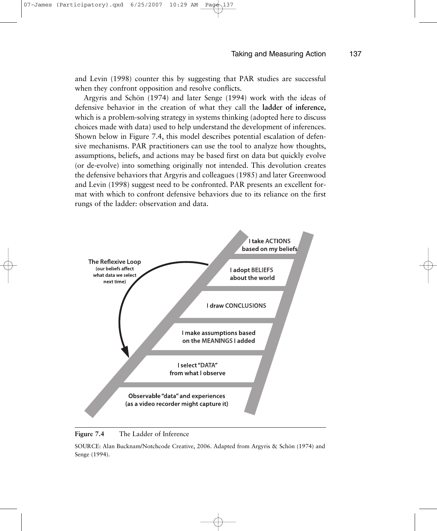and Levin (1998) counter this by suggesting that PAR studies are successful when they confront opposition and resolve conflicts.

Argyris and Schön (1974) and later Senge (1994) work with the ideas of defensive behavior in the creation of what they call the **ladder of inference,** which is a problem-solving strategy in systems thinking (adopted here to discuss choices made with data) used to help understand the development of inferences. Shown below in Figure 7.4, this model describes potential escalation of defensive mechanisms. PAR practitioners can use the tool to analyze how thoughts, assumptions, beliefs, and actions may be based first on data but quickly evolve (or de-evolve) into something originally not intended. This devolution creates the defensive behaviors that Argyris and colleagues (1985) and later Greenwood and Levin (1998) suggest need to be confronted. PAR presents an excellent format with which to confront defensive behaviors due to its reliance on the first rungs of the ladder: observation and data.



**Figure 7.4** The Ladder of Inference

SOURCE: Alan Bucknam/Notchcode Creative, 2006. Adapted from Argyris & Schön (1974) and Senge (1994).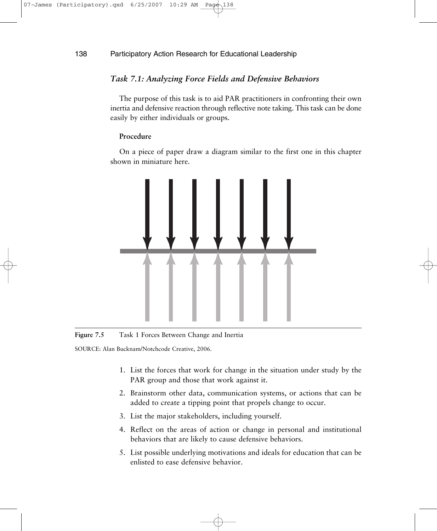# *Task 7.1: Analyzing Force Fields and Defensive Behaviors*

The purpose of this task is to aid PAR practitioners in confronting their own inertia and defensive reaction through reflective note taking. This task can be done easily by either individuals or groups.

### **Procedure**

On a piece of paper draw a diagram similar to the first one in this chapter shown in miniature here.



**Figure 7.5** Task 1 Forces Between Change and Inertia

SOURCE: Alan Bucknam/Notchcode Creative, 2006.

- 1. List the forces that work for change in the situation under study by the PAR group and those that work against it.
- 2. Brainstorm other data, communication systems, or actions that can be added to create a tipping point that propels change to occur.
- 3. List the major stakeholders, including yourself.
- 4. Reflect on the areas of action or change in personal and institutional behaviors that are likely to cause defensive behaviors.
- 5. List possible underlying motivations and ideals for education that can be enlisted to ease defensive behavior.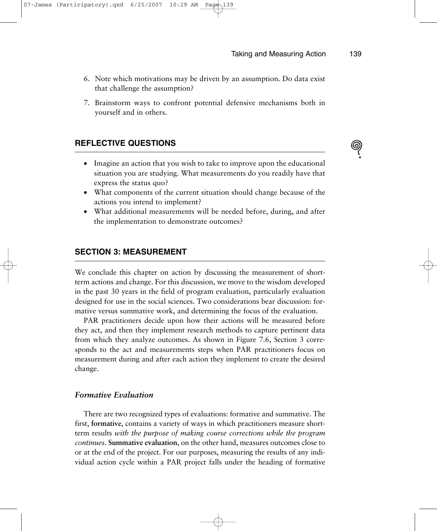- 6. Note which motivations may be driven by an assumption. Do data exist that challenge the assumption?
- 7. Brainstorm ways to confront potential defensive mechanisms both in yourself and in others.

# **REFLECTIVE QUESTIONS**

07-James (Participatory).qxd 6/25/2007

- Imagine an action that you wish to take to improve upon the educational situation you are studying. What measurements do you readily have that express the status quo?
- What components of the current situation should change because of the actions you intend to implement?
- What additional measurements will be needed before, during, and after the implementation to demonstrate outcomes?

# **SECTION 3: MEASUREMENT**

We conclude this chapter on action by discussing the measurement of shortterm actions and change. For this discussion, we move to the wisdom developed in the past 30 years in the field of program evaluation, particularly evaluation designed for use in the social sciences. Two considerations bear discussion: formative versus summative work, and determining the focus of the evaluation.

PAR practitioners decide upon how their actions will be measured before they act, and then they implement research methods to capture pertinent data from which they analyze outcomes. As shown in Figure 7.6, Section 3 corresponds to the act and measurements steps when PAR practitioners focus on measurement during and after each action they implement to create the desired change.

### *Formative Evaluation*

There are two recognized types of evaluations: formative and summative. The first, **formative**, contains a variety of ways in which practitioners measure shortterm results *with the purpose of making course corrections while the program continues*. **Summative evaluation**, on the other hand, measures outcomes close to or at the end of the project. For our purposes, measuring the results of any individual action cycle within a PAR project falls under the heading of formative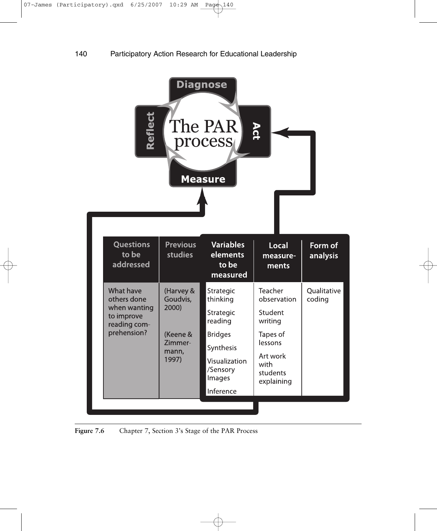



Figure 7.6 Chapter 7, Section 3's Stage of the PAR Process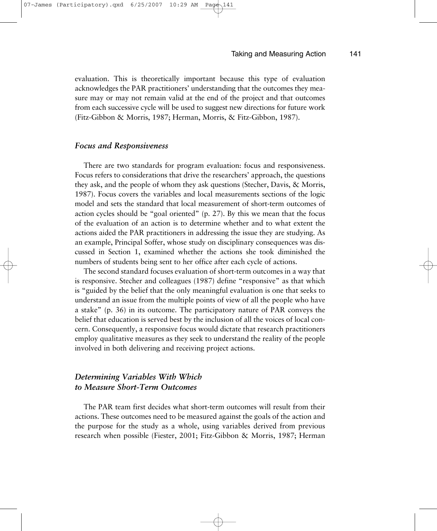evaluation. This is theoretically important because this type of evaluation acknowledges the PAR practitioners' understanding that the outcomes they measure may or may not remain valid at the end of the project and that outcomes from each successive cycle will be used to suggest new directions for future work (Fitz-Gibbon & Morris, 1987; Herman, Morris, & Fitz-Gibbon, 1987).

#### *Focus and Responsiveness*

There are two standards for program evaluation: focus and responsiveness. Focus refers to considerations that drive the researchers' approach, the questions they ask, and the people of whom they ask questions (Stecher, Davis, & Morris, 1987). Focus covers the variables and local measurements sections of the logic model and sets the standard that local measurement of short-term outcomes of action cycles should be "goal oriented" (p. 27). By this we mean that the focus of the evaluation of an action is to determine whether and to what extent the actions aided the PAR practitioners in addressing the issue they are studying. As an example, Principal Soffer, whose study on disciplinary consequences was discussed in Section 1, examined whether the actions she took diminished the numbers of students being sent to her office after each cycle of actions.

The second standard focuses evaluation of short-term outcomes in a way that is responsive. Stecher and colleagues (1987) define "responsive" as that which is "guided by the belief that the only meaningful evaluation is one that seeks to understand an issue from the multiple points of view of all the people who have a stake" (p. 36) in its outcome. The participatory nature of PAR conveys the belief that education is served best by the inclusion of all the voices of local concern. Consequently, a responsive focus would dictate that research practitioners employ qualitative measures as they seek to understand the reality of the people involved in both delivering and receiving project actions.

# *Determining Variables With Which to Measure Short-Term Outcomes*

The PAR team first decides what short-term outcomes will result from their actions. These outcomes need to be measured against the goals of the action and the purpose for the study as a whole, using variables derived from previous research when possible (Fiester, 2001; Fitz-Gibbon & Morris, 1987; Herman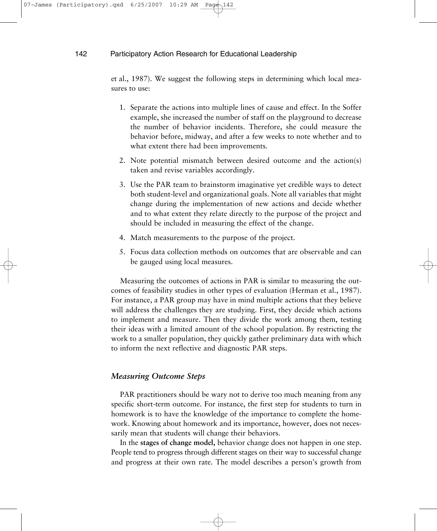et al., 1987). We suggest the following steps in determining which local measures to use:

- 1. Separate the actions into multiple lines of cause and effect. In the Soffer example, she increased the number of staff on the playground to decrease the number of behavior incidents. Therefore, she could measure the behavior before, midway, and after a few weeks to note whether and to what extent there had been improvements.
- 2. Note potential mismatch between desired outcome and the action(s) taken and revise variables accordingly.
- 3. Use the PAR team to brainstorm imaginative yet credible ways to detect both student-level and organizational goals. Note all variables that might change during the implementation of new actions and decide whether and to what extent they relate directly to the purpose of the project and should be included in measuring the effect of the change.
- 4. Match measurements to the purpose of the project.
- 5. Focus data collection methods on outcomes that are observable and can be gauged using local measures.

Measuring the outcomes of actions in PAR is similar to measuring the outcomes of feasibility studies in other types of evaluation (Herman et al., 1987). For instance, a PAR group may have in mind multiple actions that they believe will address the challenges they are studying. First, they decide which actions to implement and measure. Then they divide the work among them, testing their ideas with a limited amount of the school population. By restricting the work to a smaller population, they quickly gather preliminary data with which to inform the next reflective and diagnostic PAR steps.

#### *Measuring Outcome Steps*

PAR practitioners should be wary not to derive too much meaning from any specific short-term outcome. For instance, the first step for students to turn in homework is to have the knowledge of the importance to complete the homework. Knowing about homework and its importance, however, does not necessarily mean that students will change their behaviors.

In the **stages of change model,** behavior change does not happen in one step. People tend to progress through different stages on their way to successful change and progress at their own rate. The model describes a person's growth from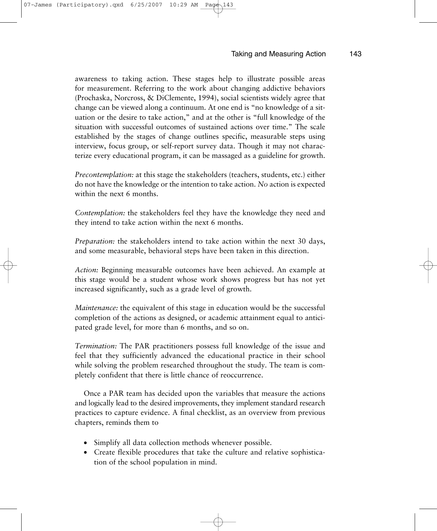awareness to taking action. These stages help to illustrate possible areas for measurement. Referring to the work about changing addictive behaviors (Prochaska, Norcross, & DiClemente, 1994), social scientists widely agree that change can be viewed along a continuum. At one end is "no knowledge of a situation or the desire to take action," and at the other is "full knowledge of the situation with successful outcomes of sustained actions over time." The scale established by the stages of change outlines specific, measurable steps using interview, focus group, or self-report survey data. Though it may not characterize every educational program, it can be massaged as a guideline for growth.

*Precontemplation:* at this stage the stakeholders (teachers, students, etc.) either do not have the knowledge or the intention to take action. *No* action is expected within the next 6 months.

*Contemplation:* the stakeholders feel they have the knowledge they need and they intend to take action within the next 6 months.

*Preparation:* the stakeholders intend to take action within the next 30 days, and some measurable, behavioral steps have been taken in this direction.

*Action:* Beginning measurable outcomes have been achieved. An example at this stage would be a student whose work shows progress but has not yet increased significantly, such as a grade level of growth.

*Maintenance*: the equivalent of this stage in education would be the successful completion of the actions as designed, or academic attainment equal to anticipated grade level, for more than 6 months, and so on.

*Termination:* The PAR practitioners possess full knowledge of the issue and feel that they sufficiently advanced the educational practice in their school while solving the problem researched throughout the study. The team is completely confident that there is little chance of reoccurrence.

Once a PAR team has decided upon the variables that measure the actions and logically lead to the desired improvements, they implement standard research practices to capture evidence. A final checklist, as an overview from previous chapters, reminds them to

- Simplify all data collection methods whenever possible.
- Create flexible procedures that take the culture and relative sophistication of the school population in mind.